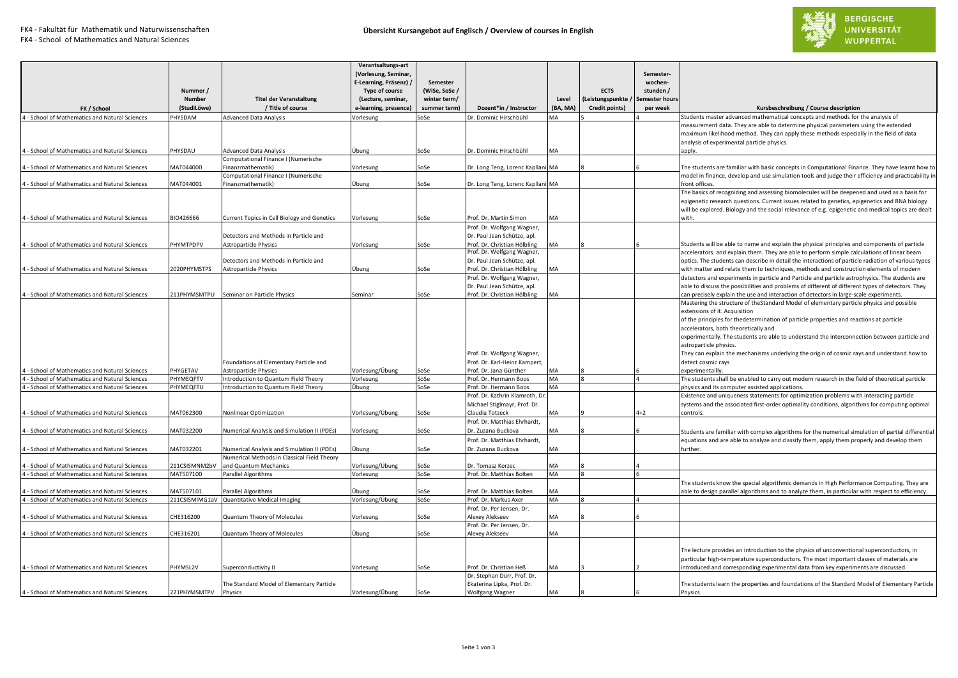

FK4 - School of Mathematics and Natural Sciences

| 4 - School of Mathematics and Natural Sciences<br>4 - School of Mathematics and Natural Sciences<br>4 - School of Mathematics and Natural Sciences | <b>HYSDAM</b>               |                                                                        | (Lecture, seminar,<br>e-learning, presence) | winter term/<br>summer term) | Dozent*in / Instructor                                                                                      | Level<br>(BA, MA) | <b>ECTS</b><br>(Leistungspunkte<br>Credit points) | stunden /<br>emester hours<br>per week | Kursbeschreibung / Course description                                                                                                                                                                                                                                                                                                                                                                                                                                                                                         |
|----------------------------------------------------------------------------------------------------------------------------------------------------|-----------------------------|------------------------------------------------------------------------|---------------------------------------------|------------------------------|-------------------------------------------------------------------------------------------------------------|-------------------|---------------------------------------------------|----------------------------------------|-------------------------------------------------------------------------------------------------------------------------------------------------------------------------------------------------------------------------------------------------------------------------------------------------------------------------------------------------------------------------------------------------------------------------------------------------------------------------------------------------------------------------------|
|                                                                                                                                                    |                             | Advanced Data Analysis                                                 | /orlesung                                   | SoSe                         | Dr. Dominic Hirschbühl                                                                                      | MA                |                                                   |                                        | Students master advanced mathematical concepts and methods for the analysis of                                                                                                                                                                                                                                                                                                                                                                                                                                                |
|                                                                                                                                                    | PHYSDAU                     | <b>Advanced Data Analysis</b>                                          | Jhung                                       | SoSe                         | Dr. Dominic Hirschbühl                                                                                      | MA                |                                                   |                                        | measurement data. They are able to determine physical parameters using the extended<br>maximum likelihood method. They can apply these methods especially in the field of data<br>analysis of experimental particle physics.<br>apply.                                                                                                                                                                                                                                                                                        |
|                                                                                                                                                    |                             | Computational Finance I (Numerische                                    |                                             |                              |                                                                                                             |                   |                                                   |                                        |                                                                                                                                                                                                                                                                                                                                                                                                                                                                                                                               |
|                                                                                                                                                    | MAT044000                   | Finanzmathematik)<br>Computational Finance I (Numerische               | /orlesung                                   | SoSe                         | Dr. Long Teng, Lorenc Kapllani MA                                                                           |                   |                                                   |                                        | The students are familiar with basic concepts in Computational Finance. They have learnt how to<br>model in finance, develop and use simulation tools and judge their efficiency and practicability in                                                                                                                                                                                                                                                                                                                        |
| 4 - School of Mathematics and Natural Sciences                                                                                                     | MAT044001                   | Finanzmathematik)                                                      | Jbung                                       | SoSe                         | Dr. Long Teng, Lorenc Kapllani MA                                                                           |                   |                                                   |                                        | front offices.                                                                                                                                                                                                                                                                                                                                                                                                                                                                                                                |
| 4 - School of Mathematics and Natural Sciences                                                                                                     | BIO426666                   |                                                                        |                                             |                              | Prof. Dr. Martin Simon                                                                                      | MA                |                                                   |                                        | The basics of recognizing and assessing biomolecules will be deepened and used as a basis for<br>epigenetic research questions. Current issues related to genetics, epigenetics and RNA biology<br>will be explored. Biology and the social relevance of e.g. epigenetic and medical topics are dealt<br>with.                                                                                                                                                                                                                |
|                                                                                                                                                    |                             | Current Topics in Cell Biology and Genetics                            | /orlesung                                   | SoSe                         | Prof. Dr. Wolfgang Wagner,                                                                                  |                   |                                                   |                                        |                                                                                                                                                                                                                                                                                                                                                                                                                                                                                                                               |
|                                                                                                                                                    |                             | Detectors and Methods in Particle and                                  |                                             |                              | Dr. Paul Jean Schütze, apl.                                                                                 |                   |                                                   |                                        |                                                                                                                                                                                                                                                                                                                                                                                                                                                                                                                               |
| 4 - School of Mathematics and Natural Sciences                                                                                                     | PHYMTPDPV                   | Astroparticle Physics                                                  | /orlesung                                   | SoSe                         | Prof. Dr. Christian Hölbling                                                                                | MA                |                                                   |                                        | Students will be able to name and explain the physical principles and components of particle                                                                                                                                                                                                                                                                                                                                                                                                                                  |
|                                                                                                                                                    |                             |                                                                        |                                             |                              | Prof. Dr. Wolfgang Wagner,                                                                                  |                   |                                                   |                                        | accelerators. and explain them. They are able to perform simple calculations of linear beam                                                                                                                                                                                                                                                                                                                                                                                                                                   |
|                                                                                                                                                    |                             | Detectors and Methods in Particle and                                  |                                             |                              | Dr. Paul Jean Schütze, apl.                                                                                 |                   |                                                   |                                        | optics. The students can describe in detail the interactions of particle radiation of various types                                                                                                                                                                                                                                                                                                                                                                                                                           |
| 4 - School of Mathematics and Natural Sciences                                                                                                     | 2020PHYMSTPS                | Astroparticle Physics                                                  | Übung                                       | SoSe                         | Prof. Dr. Christian Hölbling<br>Prof. Dr. Wolfgang Wagner,                                                  | MA                |                                                   |                                        | with matter and relate them to techniques, methods and construction elements of modern<br>detectors and experiments in particle and Particle and particle astrophysics. The students are                                                                                                                                                                                                                                                                                                                                      |
|                                                                                                                                                    |                             |                                                                        |                                             |                              | Dr. Paul Jean Schütze, apl.                                                                                 |                   |                                                   |                                        | able to discuss the possibilities and problems of different of different types of detectors. They                                                                                                                                                                                                                                                                                                                                                                                                                             |
| 4 - School of Mathematics and Natural Sciences                                                                                                     | 211PHYMSMTPU                | Seminar on Particle Physics                                            | ieminar                                     | SoSe                         | Prof. Dr. Christian Hölbling                                                                                | MA                |                                                   |                                        | can precisely explain the use and interaction of detectors in large-scale experiments.                                                                                                                                                                                                                                                                                                                                                                                                                                        |
| 4 - School of Mathematics and Natural Sciences                                                                                                     | PHYGETAV                    | Foundations of Elementary Particle and<br><b>Astroparticle Physics</b> | √orlesung/Übung                             | SoSe                         | Prof. Dr. Wolfgang Wagner,<br>Prof. Dr. Karl-Heinz Kampert,<br>Prof. Dr. Jana Günther                       | MA                |                                                   |                                        | Mastering the structure of theStandard Model of elementary particle physics and possible<br>extensions of it. Acquisition<br>of the principles for thedetermination of particle properties and reactions at particle<br>accelerators, both theoretically and<br>experimentally. The students are able to understand the interconnection between particle and<br>astroparticle physics.<br>They can explain the mechanisms underlying the origin of cosmic rays and understand how to<br>detect cosmic rays<br>experimentallly |
| 4 - School of Mathematics and Natural Sciences                                                                                                     | PHYMEQFTV                   | Introduction to Quantum Field Theory                                   | <b>/orlesung</b>                            | SoSe                         | Prof. Dr. Hermann Boos                                                                                      | MA                |                                                   |                                        | The students shall be enabled to carry out modern research in the field of theoretical particle                                                                                                                                                                                                                                                                                                                                                                                                                               |
| 4 - School of Mathematics and Natural Sciences<br>4 - School of Mathematics and Natural Sciences                                                   | PHYMEQFTU<br>MAT062300      | Introduction to Quantum Field Theory<br>Nonlinear Optimization         | .<br>Jbung<br>/orlesung/Übung               | SoSe<br>SoSe                 | Prof. Dr. Hermann Boos<br>Prof. Dr. Kathrin Klamroth, Dr<br>Michael Stiglmayr, Prof. Dr.<br>Claudia Totzeck | MA<br>MA          |                                                   | $4 + 2$                                | physics and its computer assisted applications.<br>Existence and uniqueness statements for optimization problems with interacting particle<br>systems and the associated first-order optimality conditions, algorithms for computing optimal<br>controls.                                                                                                                                                                                                                                                                     |
|                                                                                                                                                    |                             |                                                                        |                                             |                              | Prof. Dr. Matthias Ehrhardt,                                                                                |                   |                                                   |                                        |                                                                                                                                                                                                                                                                                                                                                                                                                                                                                                                               |
| 4 - School of Mathematics and Natural Sciences                                                                                                     | MAT032200                   | Numerical Analysis and Simulation II (PDEs)                            | /orlesung                                   | SoSe                         | Dr. Zuzana Buckova                                                                                          | MA                |                                                   |                                        | Students are familiar with complex algorithms for the numerical simulation of partial differential                                                                                                                                                                                                                                                                                                                                                                                                                            |
| 4 - School of Mathematics and Natural Sciences                                                                                                     | MAT032201                   | Numerical Analysis and Simulation II (PDEs)                            | Übung                                       | SoSe                         | Prof. Dr. Matthias Ehrhardt,<br>Dr. Zuzana Buckova                                                          | MA                |                                                   |                                        | equations and are able to analyze and classify them, apply them properly and develop them<br>further.                                                                                                                                                                                                                                                                                                                                                                                                                         |
|                                                                                                                                                    |                             | Numerical Methods in Classical Field Theory                            |                                             |                              |                                                                                                             |                   |                                                   |                                        |                                                                                                                                                                                                                                                                                                                                                                                                                                                                                                                               |
| 4 - School of Mathematics and Natural Sciences                                                                                                     | 211CSISMNM2bV               | and Quantum Mechanics                                                  | √orlesung/Übung                             | SoSe                         | Dr. Tomasz Korzec                                                                                           | MA                |                                                   |                                        |                                                                                                                                                                                                                                                                                                                                                                                                                                                                                                                               |
| 4 - School of Mathematics and Natural Sciences                                                                                                     | MAT507100                   | Parallel Algorithms                                                    | <b>/orlesung</b>                            | SoSe                         | Prof. Dr. Matthias Bolten                                                                                   | MA                |                                                   |                                        |                                                                                                                                                                                                                                                                                                                                                                                                                                                                                                                               |
|                                                                                                                                                    |                             |                                                                        |                                             |                              |                                                                                                             |                   |                                                   |                                        | The students know the special algorithmic demands in High Performance Computing. They are                                                                                                                                                                                                                                                                                                                                                                                                                                     |
| 4 - School of Mathematics and Natural Sciences<br>4 - School of Mathematics and Natural Sciences                                                   | MAT507101<br>211CSISMIMG1a\ | Parallel Algorithms                                                    | Übung                                       | SoSe<br>SoSe                 | Prof. Dr. Matthias Bolten<br>Prof. Dr. Markus Axer                                                          | MA<br>MA          |                                                   |                                        | able to design parallel algorithms and to analyze them, in particular with respect to efficiency.                                                                                                                                                                                                                                                                                                                                                                                                                             |
|                                                                                                                                                    |                             | Quantitative Medical Imaging                                           | Vorlesung/Übung                             |                              | Prof. Dr. Per Jensen, Dr.                                                                                   |                   |                                                   |                                        |                                                                                                                                                                                                                                                                                                                                                                                                                                                                                                                               |
| 4 - School of Mathematics and Natural Sciences                                                                                                     | CHE316200                   | <b>Quantum Theory of Molecules</b>                                     | /orlesung                                   | SoSe                         | Alexey Alekseev                                                                                             | MA                |                                                   |                                        |                                                                                                                                                                                                                                                                                                                                                                                                                                                                                                                               |
| 4 - School of Mathematics and Natural Sciences                                                                                                     | CHE316201                   | Quantum Theory of Molecules                                            | Übung                                       | SoSe                         | Prof. Dr. Per Jensen, Dr.<br>Alexey Alekseev                                                                | MA                |                                                   |                                        |                                                                                                                                                                                                                                                                                                                                                                                                                                                                                                                               |
| 4 - School of Mathematics and Natural Sciences                                                                                                     | PHYMSL2V                    | uperconductivity II                                                    | /orlesung                                   | SoSe                         | Prof. Dr. Christian Heß                                                                                     | MA                |                                                   |                                        | The lecture provides an introduction to the physics of unconventional superconductors, in<br>particular high-temperature superconductors. The most important classes of materials are<br>introduced and corresponding experimental data from key experiments are discussed.                                                                                                                                                                                                                                                   |
|                                                                                                                                                    |                             | The Standard Model of Elementary Particle                              |                                             |                              | Dr. Stephan Dürr, Prof. Dr.<br>Ekaterina Lipka, Prof. Dr.                                                   |                   |                                                   |                                        | The students learn the properties and foundations of the Standard Model of Elementary Particle                                                                                                                                                                                                                                                                                                                                                                                                                                |
| 4 - School of Mathematics and Natural Sciences                                                                                                     | 221PHYMSMTPV                | Physics                                                                | Vorlesung/Übung                             | SoSe                         | Wolfgang Wagner                                                                                             | MA                |                                                   |                                        | Physics.                                                                                                                                                                                                                                                                                                                                                                                                                                                                                                                      |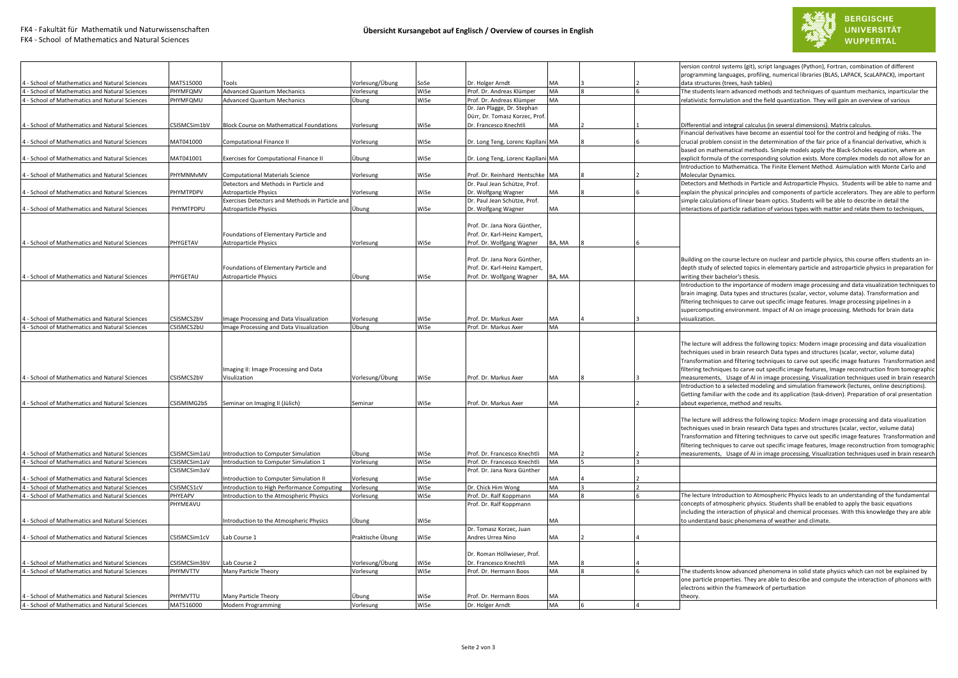

 $\mathbf{r}$ 



|                                                                                                  |                       |                                                 |                  |              |                                                          |          |  | version control systems (git), script languages (Python), Fortran, combination of different        |
|--------------------------------------------------------------------------------------------------|-----------------------|-------------------------------------------------|------------------|--------------|----------------------------------------------------------|----------|--|----------------------------------------------------------------------------------------------------|
|                                                                                                  |                       |                                                 |                  |              |                                                          | MA       |  | programming languages, profiling, numerical libraries (BLAS, LAPACK, ScaLAPACK), important         |
| 4 - School of Mathematics and Natural Sciences                                                   | MAT515000<br>PHYMFOMV | Tools                                           | /orlesung/Übung  | SoSe<br>WiSe | Dr. Holger Arndt                                         | MA       |  | data structures (trees, hash tables)                                                               |
| 4 - School of Mathematics and Natural Sciences                                                   |                       | <b>Advanced Quantum Mechanics</b>               | Vorlesung        |              | Prof. Dr. Andreas Klümper                                | MA       |  | The students learn advanced methods and techniques of quantum mechanics, inparticular the          |
| 4 - School of Mathematics and Natural Sciences                                                   | PHYMFQMU              | <b>Advanced Quantum Mechanics</b>               | Übung            | WiSe         | Prof. Dr. Andreas Klümper<br>Dr. Jan Plagge, Dr. Stephan |          |  | relativistic formulation and the field quantization. They will gain an overview of various         |
|                                                                                                  |                       |                                                 |                  |              | Dürr, Dr. Tomasz Korzec, Prof.                           |          |  |                                                                                                    |
| 4 - School of Mathematics and Natural Sciences                                                   | CSISMCSim1bV          | Block Course on Mathematical Foundations        | 'orlesung        | WiSe         | Dr. Francesco Knechtli                                   | MA       |  | Differential and integral calculus (in several dimensions). Matrix calculus.                       |
|                                                                                                  |                       |                                                 |                  |              |                                                          |          |  | Financial derivatives have become an essential tool for the control and hedging of risks. The      |
| 4 - School of Mathematics and Natural Sciences                                                   | MAT041000             | Computational Finance II                        | Vorlesung        | WiSe         | Dr. Long Teng, Lorenc Kapllani MA                        |          |  | crucial problem consist in the determination of the fair price of a financial derivative, which is |
|                                                                                                  |                       |                                                 |                  |              |                                                          |          |  | based on mathematical methods. Simple models apply the Black-Scholes equation, where an            |
| 4 - School of Mathematics and Natural Sciences                                                   | MAT041001             | xercises for Computational Finance II           | Übung            | WiSe         | Dr. Long Teng, Lorenc Kapllani MA                        |          |  | explicit formula of the corresponding solution exists. More complex models do not allow for an     |
|                                                                                                  |                       |                                                 |                  |              |                                                          |          |  | Introduction to Mathematica. The Finite Element Method. Asimulation with Monte Carlo and           |
| 4 - School of Mathematics and Natural Sciences                                                   | PHYMNMvMV             | Computational Materials Science                 | Vorlesung        | WiSe         | Prof. Dr. Reinhard Hentschke                             | MA       |  | Molecular Dynamics.                                                                                |
|                                                                                                  |                       | Detectors and Methods in Particle and           |                  |              | Dr. Paul Jean Schütze, Prof.                             |          |  | Detectors and Methods in Particle and Astroparticle Physics. Students will be able to name and     |
| 4 - School of Mathematics and Natural Sciences                                                   | PHYMTPDPV             | <b>Astroparticle Physics</b>                    | 'orlesung        | WiSe         | Dr. Wolfgang Wagner                                      | MA       |  | explain the physical principles and components of particle accelerators. They are able to perform  |
|                                                                                                  |                       | Exercises Detectors and Methods in Particle and |                  |              | Dr. Paul Jean Schütze, Prof.                             |          |  | simple calculations of linear beam optics. Students will be able to describe in detail the         |
| 4 - School of Mathematics and Natural Sciences                                                   | PHYMTPDPU             | <b>Astroparticle Physics</b>                    | Übung            | WiSe         | Dr. Wolfgang Wagner                                      | MA       |  | interactions of particle radiation of various types with matter and relate them to techniques,     |
|                                                                                                  |                       |                                                 |                  |              |                                                          |          |  |                                                                                                    |
|                                                                                                  |                       |                                                 |                  |              | Prof. Dr. Jana Nora Günther,                             |          |  |                                                                                                    |
|                                                                                                  |                       | Foundations of Elementary Particle and          |                  |              | Prof. Dr. Karl-Heinz Kampert,                            |          |  |                                                                                                    |
| 4 - School of Mathematics and Natural Sciences                                                   | PHYGETAV              | <b>Astroparticle Physics</b>                    | Vorlesung        | WiSe         | Prof. Dr. Wolfgang Wagner                                | BA, MA   |  |                                                                                                    |
|                                                                                                  |                       |                                                 |                  |              |                                                          |          |  |                                                                                                    |
|                                                                                                  |                       |                                                 |                  |              | Prof. Dr. Jana Nora Günther,                             |          |  | Building on the course lecture on nuclear and particle physics, this course offers students an in- |
|                                                                                                  |                       | Foundations of Elementary Particle and          |                  |              | Prof. Dr. Karl-Heinz Kampert,                            |          |  | depth study of selected topics in elementary particle and astroparticle physics in preparation for |
| 4 - School of Mathematics and Natural Sciences                                                   | PHYGETAU              | Astroparticle Physics                           | Übung            | WiSe         | Prof. Dr. Wolfgang Wagner                                | BA, MA   |  | writing their bachelor's thesis.                                                                   |
|                                                                                                  |                       |                                                 |                  |              |                                                          |          |  | Introduction to the importance of modern image processing and data visualization techniques to     |
|                                                                                                  |                       |                                                 |                  |              |                                                          |          |  | brain imaging. Data types and structures (scalar, vector, volume data). Transformation and         |
|                                                                                                  |                       |                                                 |                  |              |                                                          |          |  | filtering techniques to carve out specific image features. Image processing pipelines in a         |
|                                                                                                  |                       |                                                 |                  |              |                                                          |          |  | supercomputing environment. Impact of AI on image processing. Methods for brain data               |
| 4 - School of Mathematics and Natural Sciences                                                   | CSISMCS2bV            | mage Processing and Data Visualization          | Vorlesung        | WiSe         | Prof. Dr. Markus Axer                                    | MA       |  | visualization.                                                                                     |
| 4 - School of Mathematics and Natural Sciences                                                   | CSISMCS2bU            | mage Processing and Data Visualization          | Übung            | WiSe         | Prof. Dr. Markus Axer                                    | MA       |  |                                                                                                    |
|                                                                                                  |                       |                                                 |                  |              |                                                          |          |  |                                                                                                    |
|                                                                                                  |                       |                                                 |                  |              |                                                          |          |  | The lecture will address the following topics: Modern image processing and data visualization      |
|                                                                                                  |                       |                                                 |                  |              |                                                          |          |  | techniques used in brain research Data types and structures (scalar, vector, volume data)          |
|                                                                                                  |                       |                                                 |                  |              |                                                          |          |  | Transformation and filtering techniques to carve out specific image features Transformation and    |
|                                                                                                  |                       | maging II: Image Processing and Data            |                  |              |                                                          |          |  | filtering techniques to carve out specific image features, Image reconstruction from tomographic   |
| 4 - School of Mathematics and Natural Sciences                                                   | CSISMCS2bV            | Visulization                                    | Vorlesung/Übung  | WiSe         | Prof. Dr. Markus Axer                                    | MA       |  | measurements, Usage of AI in image processing, Visualization techniques used in brain research     |
|                                                                                                  |                       |                                                 |                  |              |                                                          |          |  | Introduction to a selected modeling and simulation framework (lectures, online descriptions).      |
|                                                                                                  |                       |                                                 |                  |              |                                                          |          |  | Getting familiar with the code and its application (task-driven). Preparation of oral presentation |
| 4 - School of Mathematics and Natural Sciences                                                   | CSISMIMG2bS           | Seminar on Imaging II (Jülich)                  | Seminar          | WiSe         | Prof. Dr. Markus Axer                                    | МA       |  | about experience, method and results.                                                              |
|                                                                                                  |                       |                                                 |                  |              |                                                          |          |  |                                                                                                    |
|                                                                                                  |                       |                                                 |                  |              |                                                          |          |  | The lecture will address the following topics: Modern image processing and data visualization      |
|                                                                                                  |                       |                                                 |                  |              |                                                          |          |  | techniques used in brain research Data types and structures (scalar, vector, volume data)          |
|                                                                                                  |                       |                                                 |                  |              |                                                          |          |  | Transformation and filtering techniques to carve out specific image features Transformation and    |
|                                                                                                  |                       |                                                 |                  |              |                                                          |          |  | filtering techniques to carve out specific image features, Image reconstruction from tomographic   |
| 4 - School of Mathematics and Natural Sciences                                                   | CSISMCSim1aU          | ntroduction to Computer Simulation              | Jbung            | WiSe         | Prof. Dr. Francesco Knechtli                             | MA       |  | measurements, Usage of AI in image processing, Visualization techniques used in brain research     |
| 4 - School of Mathematics and Natural Sciences                                                   | CSISMCSim1aV          | ntroduction to Computer Simulation 1            | Vorlesung        | WiSe         | Prof. Dr. Francesco Knechtli                             | MA       |  |                                                                                                    |
|                                                                                                  | CSISMCSim3aV          |                                                 |                  |              | Prof. Dr. Jana Nora Günther                              |          |  |                                                                                                    |
| 4 - School of Mathematics and Natural Sciences                                                   |                       | Introduction to Computer Simulation II          | Vorlesung        | WiSe         |                                                          | MA       |  |                                                                                                    |
| 4 - School of Mathematics and Natural Sciences                                                   | CSISMCS1cV            | Introduction to High Performance Computing      | Vorlesung        | WiSe         | Dr. Chick Him Wong                                       | MA       |  |                                                                                                    |
| 4 - School of Mathematics and Natural Sciences                                                   | PHYEAPV               | ntroduction to the Atmospheric Physics          | Vorlesung        | WiSe         | Prof. Dr. Ralf Koppmann                                  | MA       |  | The lecture Introduction to Atmospheric Physics leads to an understanding of the fundamental       |
|                                                                                                  | PHYMEAVU              |                                                 |                  |              | Prof. Dr. Ralf Koppmann                                  |          |  | concepts of atmospheric physics. Students shall be enabled to apply the basic equations            |
|                                                                                                  |                       |                                                 |                  |              |                                                          | MA       |  | including the interaction of physical and chemical processes. With this knowledge they are able    |
| 4 - School of Mathematics and Natural Sciences                                                   |                       | ntroduction to the Atmospheric Physics          | Jbung            | WiSe         |                                                          |          |  | to understand basic phenomena of weather and climate.                                              |
|                                                                                                  |                       |                                                 |                  |              | Dr. Tomasz Korzec, Juan                                  | MA       |  |                                                                                                    |
| 4 - School of Mathematics and Natural Sciences                                                   | CSISMCSim1cV          | Lab Course 1                                    | Praktische Übung | WiSe         | Andres Urrea Nino                                        |          |  |                                                                                                    |
|                                                                                                  |                       |                                                 |                  |              |                                                          |          |  |                                                                                                    |
|                                                                                                  |                       |                                                 |                  |              | Dr. Roman Höllwieser, Prof.                              |          |  |                                                                                                    |
| 4 - School of Mathematics and Natural Sciences                                                   | CSISMCSim3bV          | Lab Course 2                                    | Vorlesung/Übung  | WiSe         | Dr. Francesco Knechtli                                   | MA<br>MA |  |                                                                                                    |
| 4 - School of Mathematics and Natural Sciences                                                   | PHYMVTTV              | Many Particle Theory                            | Vorlesung        | WiSe         | Prof. Dr. Hermann Boos                                   |          |  | The students know advanced phenomena in solid state physics which can not be explained by          |
|                                                                                                  |                       |                                                 |                  |              |                                                          |          |  | one particle properties. They are able to describe and compute the interaction of phonons with     |
|                                                                                                  | PHYMVTTU              |                                                 |                  |              |                                                          | MA       |  | electrons within the framework of perturbation                                                     |
| 4 - School of Mathematics and Natural Sciences<br>4 - School of Mathematics and Natural Sciences | MAT516000             | Many Particle Theory                            | Übung            | WiSe<br>WiSe | Prof. Dr. Hermann Boos                                   | MA       |  | theory.                                                                                            |
|                                                                                                  |                       | Modern Programming                              | Vorlesung        |              | Dr. Holger Arndt                                         |          |  |                                                                                                    |